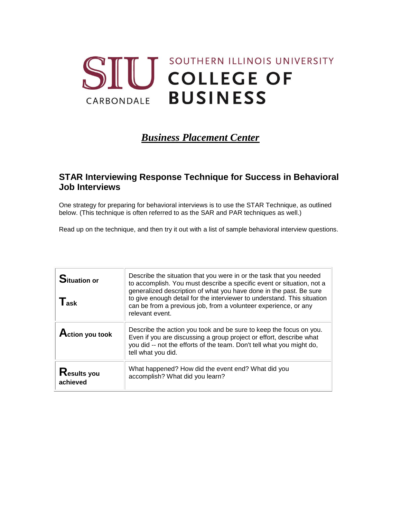# SOUTHERN ILLINOIS UNIVERSITY **SIU COLLEGE OF BUSINESS** CARBONDALE

# *Business Placement Center*

#### **STAR Interviewing Response Technique for Success in Behavioral Job Interviews**

One strategy for preparing for behavioral interviews is to use the STAR Technique, as outlined below. (This technique is often referred to as the SAR and PAR techniques as well.)

Read up on the technique, and then try it out with a list of sample behavioral interview questions.

| <b>Situation or</b><br>$\mathsf{T}_{\mathsf{ask}}$ | Describe the situation that you were in or the task that you needed<br>to accomplish. You must describe a specific event or situation, not a<br>generalized description of what you have done in the past. Be sure<br>to give enough detail for the interviewer to understand. This situation<br>can be from a previous job, from a volunteer experience, or any<br>relevant event. |
|----------------------------------------------------|-------------------------------------------------------------------------------------------------------------------------------------------------------------------------------------------------------------------------------------------------------------------------------------------------------------------------------------------------------------------------------------|
| <b>Action you took</b>                             | Describe the action you took and be sure to keep the focus on you.<br>Even if you are discussing a group project or effort, describe what<br>you did -- not the efforts of the team. Don't tell what you might do,<br>tell what you did.                                                                                                                                            |
| <b>Kesults you</b><br>achieved                     | What happened? How did the event end? What did you<br>accomplish? What did you learn?                                                                                                                                                                                                                                                                                               |